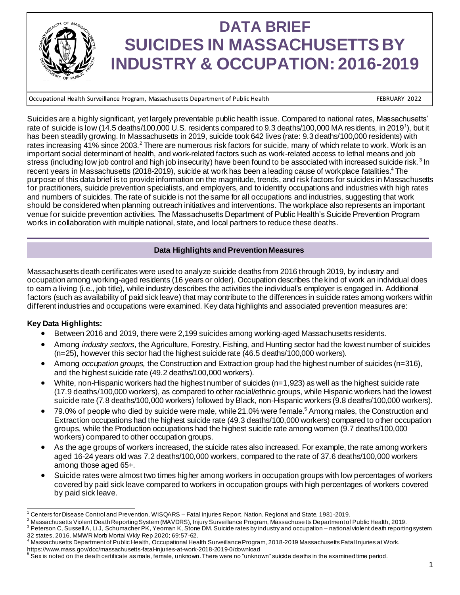

# **DATA BRIEF SUICIDES IN MASSACHUSETTS BY INDUSTRY & OCCUPATION: 2016-2019**

Occupational Health Surveillance Program, Massachusetts Department of Public Health FEBRUARY 2022 CHEBRUARY 2022

Suicides are a highly significant, yet largely preventable public health issue. Compared to national rates, Massachusetts' rate of suicide is low (14.5 deaths/100,000 U.S. residents compared to 9.3 deaths/100,000 MA residents, in 2019<sup>1</sup>), but it has been steadily growing. In Massachusetts in 2019, suicide took 642 lives (rate: 9.3 deaths/100,000 residents) with rates increasing 41% since 2003.<sup>2</sup> There are numerous risk factors for suicide, many of which relate to work. Work is an important social determinant of health, and work-related factors such as work-related access to lethal means and job stress (including low job control and high job insecurity) have been found to be associated with increased suicide risk.<sup>3</sup> In recent years in Massachusetts (2018-2019), suicide at work has been a leading cause of workplace fatalities.<sup>4</sup> The purpose of this data brief is to provide information on the magnitude, trends, and risk factors for suicides in Massachusetts for practitioners, suicide prevention specialists, and employers, and to identify occupations and industries with high rates and numbers of suicides. The rate of suicide is not the same for all occupations and industries, suggesting that work should be considered when planning outreach initiatives and interventions. The workplace also represents an important venue for suicide prevention activities. The Massachusetts Department of Public Health's Suicide Prevention Program works in collaboration with multiple national, state, and local partners to reduce these deaths.

# **Data Highlights and Prevention Measures**

Massachusetts death certificates were used to analyze suicide deaths from 2016 through 2019, by industry and occupation among working-aged residents (16 years or older). Occupation describes the kind of work an individual does to earn a living (i.e., job title), while industry describes the activities the individual's employer is engaged in. Additional factors (such as availability of paid sick leave) that may contribute to the differences in suicide rates among workers within different industries and occupations were examined. Key data highlights and associated prevention measures are:

# **Key Data Highlights:**

- Between 2016 and 2019, there were 2,199 suicides among working-aged Massachusetts residents.
- Among *industry sectors,* the Agriculture, Forestry, Fishing, and Hunting sector had the lowest number of suicides (n=25), however this sector had the highest suicide rate (46.5 deaths/100,000 workers).
- Among *occupation groups*, the Construction and Extraction group had the highest number of suicides (n=316), and the highest suicide rate (49.2 deaths/100,000 workers).
- White, non-Hispanic workers had the highest number of suicides (n=1,923) as well as the highest suicide rate (17.9 deaths/100,000 workers), as compared to other racial/ethnic groups, while Hispanic workers had the lowest suicide rate (7.8 deaths/100,000 workers) followed by Black, non-Hispanic workers (9.8 deaths/100,000 workers).
- 79.0% of people who died by suicide were male, while 21.0% were female.<sup>5</sup> Among males, the Construction and Extraction occupations had the highest suicide rate (49.3 deaths/100,000 workers) compared to other occupation groups, while the Production occupations had the highest suicide rate among women (9.7 deaths/100,000 workers) compared to other occupation groups.
- As the age groups of workers increased, the suicide rates also increased. For example, the rate among workers aged 16-24 years old was 7.2 deaths/100,000 workers, compared to the rate of 37.6 deaths/100,000 workers among those aged 65+.
- Suicide rates were almost two times higher among workers in occupation groups with low percentages of workers covered by paid sick leave compared to workers in occupation groups with high percentages of workers covered by paid sick leave.

 $^1$  Centers for Disease Control and Prevention, WISQARS – Fatal Injuries Report, Nation, Regional and State, 1981-2019.

<sup>&</sup>lt;sup>2</sup> Massachusetts Violent Death Reporting System (MAVDRS), Injury Surveillance Program, Massachusetts Department of Public Health, 2019.  $^3$  Peterson C, Sussell A, Li J, Schumacher PK, Yeoman K, Stone DM. Suicide rates by industry and occupation – national violent death reporting system,

<sup>32</sup> states, 2016. MMWR Morb Mortal Wkly Rep 2020; 69:57-62.<br><sup>4</sup> Massachusetts Department of Public Health, Occupational Health Surveillance Program, 2018-2019 Massachusetts Fatal Injuries at Work.

https://www.mass.gov/doc/massachusetts-fatal-injuries-at-work-2018-2019-0/download

 $^5$  Sex is noted on the death $\,$ certificate as male, female, unknown. There were no "unknown" suicide deaths in the examined time period.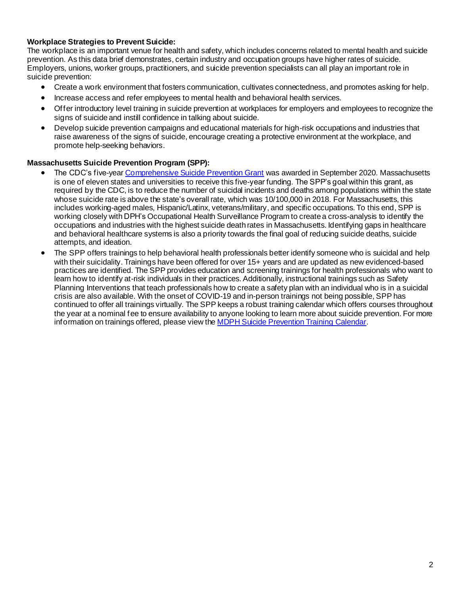# **Workplace Strategies to Prevent Suicide:**

The workplace is an important venue for health and safety, which includes concerns related to mental health and suicide prevention. As this data brief demonstrates, certain industry and occupation groups have higher rates of suicide. Employers, unions, worker groups, practitioners, and suicide prevention specialists can all play an important role in suicide prevention:

- Create a work environment that fosters communication, cultivates connectedness, and promotes asking for help.
- Increase access and refer employees to mental health and behavioral health services.
- Offer introductory level training in suicide prevention at workplaces for employers and employees to recognize the signs of suicide and instill confidence in talking about suicide.
- Develop suicide prevention campaigns and educational materials for high-risk occupations and industries that raise awareness of the signs of suicide, encourage creating a protective environment at the workplace, and promote help-seeking behaviors.

## **Massachusetts Suicide Prevention Program (SPP):**

- The CDC's five-yea[r Comprehensive Suicide Prevention Grant](https://www.cdc.gov/suicide/programs/csp/index.html) was awarded in September 2020. Massachusetts is one of eleven states and universities to receive this five-year funding. The SPP's goal within this grant, as required by the CDC, is to reduce the number of suicidal incidents and deaths among populations within the state whose suicide rate is above the state's overall rate, which was 10/100,000 in 2018. For Massachusetts, this includes working-aged males, Hispanic/Latinx, veterans/military, and specific occupations. To this end, SPP is working closely with DPH's Occupational Health Surveillance Program to create a cross-analysis to identify the occupations and industries with the highest suicide death rates in Massachusetts. Identifying gaps in healthcare and behavioral healthcare systems is also a priority towards the final goal of reducing suicide deaths, suicide attempts, and ideation.
- The SPP offers trainings to help behavioral health professionals better identify someone who is suicidal and help with their suicidality. Trainings have been offered for over 15+ years and are updated as new evidenced-based practices are identified. The SPP provides education and screening trainings for health professionals who want to learn how to identify at-risk individuals in their practices. Additionally, instructional trainings such as Safety Planning Interventions that teach professionals how to create a safety plan with an individual who is in a suicidal crisis are also available. With the onset of COVID-19 and in-person trainings not being possible, SPP has continued to offer all trainings virtually. The SPP keeps a robust training calendar which offers courses throughout the year at a nominal fee to ensure availability to anyone looking to learn more about suicide prevention. For more information on trainings offered, please view the **[MDPH Suicide Prevention Training Calendar](https://www.cvent.com/c/calendar/0b6613d1-e5ee-46f5-9823-560c6f110967)**.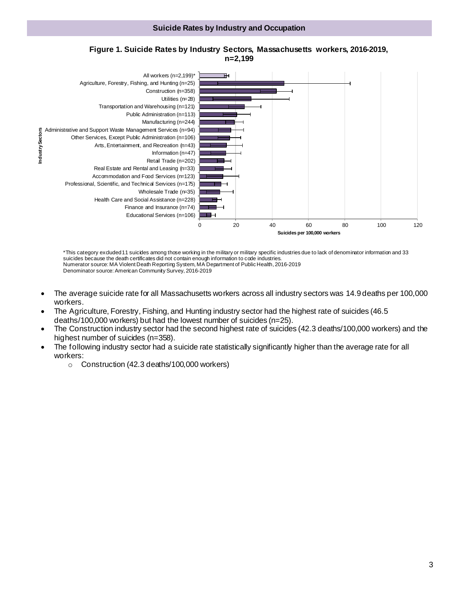#### **Suicide Rates by Industry and Occupation**





\*This category excluded 11 suicides among those working in the military or military specific industries due to lack of denominator information and 33 suicides because the death certificates did not contain enough information to code industries. Numerator source: MA Violent Death Reporting System, MA Department of Public Health, 2016-2019 Denominator source: American Community Survey, 2016-2019

- The average suicide rate for all Massachusetts workers across all industry sectors was 14.9 deaths per 100,000 workers.
- The Agriculture, Forestry, Fishing, and Hunting industry sector had the highest rate of suicides (46.5 deaths/100,000 workers) but had the lowest number of suicides (n=25).
- The Construction industry sector had the second highest rate of suicides (42.3 deaths/100,000 workers) and the highest number of suicides (n=358).
- The following industry sector had a suicide rate statistically significantly higher than the average rate for all workers:
	- o Construction (42.3 deaths/100,000 workers)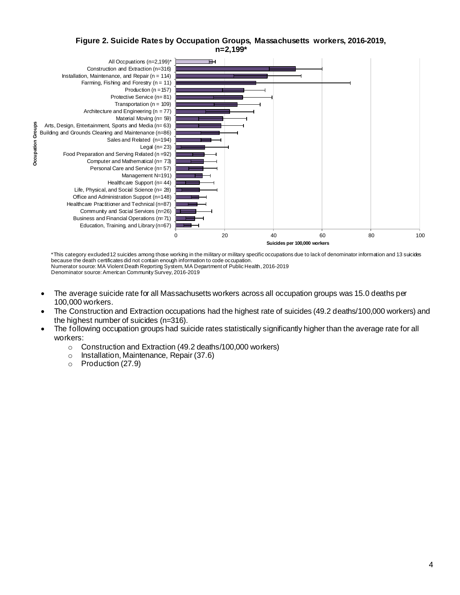## **Figure 2. Suicide Rates by Occupation Groups, Massachusetts workers, 2016-2019, n=2,199\***



\*This category excluded 12 suicides among those working in the military or military specific occupations due to lack of denominator information and 13 suicides because the death certificates did not contain enough information to code occupation. Numerator source: MA Violent Death Reporting System, MA Department of Public Health, 2016-2019 Denominator source: American Community Survey, 2016-2019

- The average suicide rate for all Massachusetts workers across all occupation groups was 15.0 deaths per 100,000 workers.
- The Construction and Extraction occupations had the highest rate of suicides (49.2 deaths/100,000 workers) and the highest number of suicides (n=316).
- The following occupation groups had suicide rates statistically significantly higher than the average rate for all workers:
	- o Construction and Extraction (49.2 deaths/100,000 workers)
	- o Installation, Maintenance, Repair (37.6)
	- o Production (27.9)

4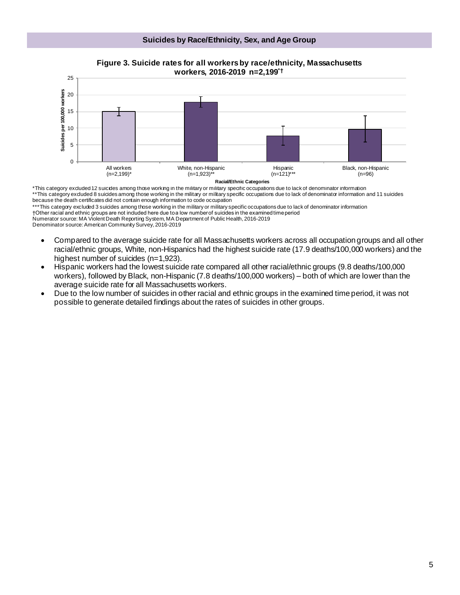



\*This category excluded 12 suicides among those working in the military or military specific occupations due to lack of denominator information \*\*This category excluded 8 suicides among those working in the military or military specific occupations due to lack of denominator information and 11 suicides because the death certificates did not contain enough information to code occupation

\*\*\*This category excluded 3 suicides among those working in the military or military specific occupations due to lack of denominator information †Other racial and ethnic groups are not included here due to a low number of suicides in the examined time period

Numerator source: MA Violent Death Reporting System, MA Department of Public Health, 2016-2019

Denominator source: American Community Survey, 2016-2019

- Compared to the average suicide rate for all Massachusetts workers across all occupation groups and all other racial/ethnic groups, White, non-Hispanics had the highest suicide rate (17.9 deaths/100,000 workers) and the highest number of suicides (n=1,923).
- Hispanic workers had the lowest suicide rate compared all other racial/ethnic groups (9.8 deaths/100,000 workers), followed by Black, non-Hispanic (7.8 deaths/100,000 workers) – both of which are lower than the average suicide rate for all Massachusetts workers.
- Due to the low number of suicides in other racial and ethnic groups in the examined time period, it was not possible to generate detailed findings about the rates of suicides in other groups.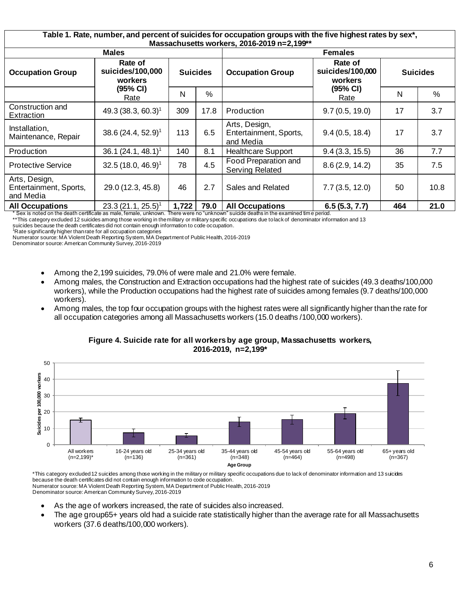| Table 1. Rate, number, and percent of suicides for occupation groups with the five highest rates by sex*,<br>Massachusetts workers, 2016-2019 n=2,199** |                                                            |                 |      |                                                      |                                        |                 |      |
|---------------------------------------------------------------------------------------------------------------------------------------------------------|------------------------------------------------------------|-----------------|------|------------------------------------------------------|----------------------------------------|-----------------|------|
| <b>Males</b>                                                                                                                                            |                                                            |                 |      | <b>Females</b>                                       |                                        |                 |      |
| <b>Occupation Group</b>                                                                                                                                 | Rate of<br>suicides/100,000<br>workers<br>(95% CI)<br>Rate | <b>Suicides</b> |      | <b>Occupation Group</b>                              | Rate of<br>suicides/100,000<br>workers | <b>Suicides</b> |      |
|                                                                                                                                                         |                                                            | N               | $\%$ |                                                      | (95% CI)<br>Rate                       | N               | %    |
| Construction and<br>Extraction                                                                                                                          | 49.3 (38.3, 60.3) <sup>1</sup>                             | 309             | 17.8 | Production                                           | 9.7(0.5, 19.0)                         | 17              | 3.7  |
| Installation,<br>Maintenance, Repair                                                                                                                    | 38.6 (24.4, 52.9) <sup>1</sup>                             | 113             | 6.5  | Arts, Design,<br>Entertainment, Sports,<br>and Media | 9.4(0.5, 18.4)                         | 17              | 3.7  |
| Production                                                                                                                                              | 36.1 $(24.1, 48.1)^1$                                      | 140             | 8.1  | <b>Healthcare Support</b>                            | 9.4(3.3, 15.5)                         | 36              | 7.7  |
| <b>Protective Service</b>                                                                                                                               | 32.5 (18.0, 46.9) <sup>1</sup>                             | 78              | 4.5  | Food Preparation and<br><b>Serving Related</b>       | 8.6(2.9, 14.2)                         | 35              | 7.5  |
| Arts, Design,<br>Entertainment, Sports,<br>and Media                                                                                                    | 29.0 (12.3, 45.8)                                          | 46              | 2.7  | Sales and Related                                    | 7.7(3.5, 12.0)                         | 50              | 10.8 |
| <b>All Occupations</b>                                                                                                                                  | $23.3(21.1, 25.5)^{1}$                                     | 1,722           | 79.0 | <b>All Occupations</b>                               | 6.5(5.3, 7.7)                          | 464             | 21.0 |
| * Sex is noted on the death certificate as male, female, unknown.<br>There were no "unknown" suicide deaths in the examined time period.                |                                                            |                 |      |                                                      |                                        |                 |      |

\*\*This category excluded 12 suicides among those working in the military or military specific occupations due to lack of denominator information and 13 suicides because the death certificates did not contain enough information to code occupation.

<sup>1</sup>Rate significantly higher than rate for all occupation categories

Numerator source: MA Violent Death Reporting System, MA Department of Public Health, 2016-2019

Denominator source: American Community Survey, 2016-2019

- Among the 2,199 suicides, 79.0% of were male and 21.0% were female.
- Among males, the Construction and Extraction occupations had the highest rate of suicides (49.3 deaths/100,000 workers), while the Production occupations had the highest rate of suicides among females (9.7 deaths/100,000 workers).
- Among males, the top four occupation groups with the highest rates were all significantly higher than the rate for all occupation categories among all Massachusetts workers (15.0 deaths /100,000 workers).



**Figure 4. Suicide rate for all workers by age group, Massachusetts workers, 2016-2019, n=2,199\***

\*This category excluded 12 suicides among those working in the military or military specific occupations due to lack of denominator information and 13 suicides because the death certificates did not contain enough information to code occupation. Numerator source: MA Violent Death Reporting System, MA Department of Public Health, 2016-2019 Denominator source: American Community Survey, 2016-2019

- As the age of workers increased, the rate of suicides also increased.
- The age group65+ years old had a suicide rate statistically higher than the average rate for all Massachusetts workers (37.6 deaths/100,000 workers).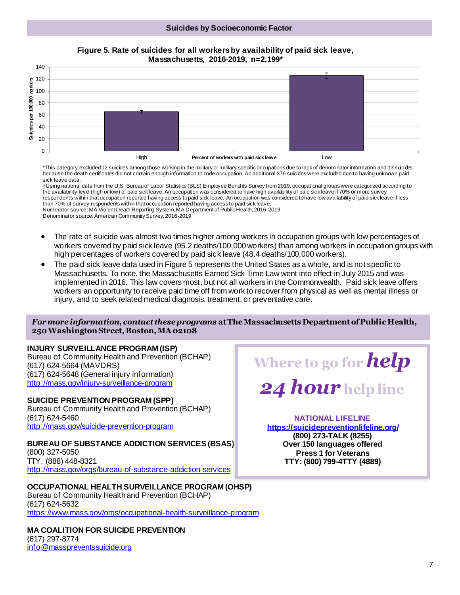#### **Suicides by Socioeconomic Factor**



**Figure 5. Rate of suicides for all workers by availability of paid sick leave, Massachusetts, 2016-2019, n=2,199\***

\*This category excluded 12 suicides among those working in the military or military specific occupations due to lack of denominator information and 13 suicides because the death certificates did not contain enough information to code occupation. An additional 376 suicides were excluded due to having unknown paid sick leave data.

†Using national data from the U.S. Bureau of Labor Statistics (BLS) Employee Benefits Survey from 2019, occupational groups were categorized according to the availability level (high or low) of paid sick leave. An occupation was considered to have high availability of paid sick leave if 70% or more survey respondents within that occupation reported having access to paid sick leave. An occupation was considered to have low availability of paid sick leave if less than 70% of survey respondents within that occupation reported having access to paid sick leave.

Numerator source: MA Violent Death Reporting System, MA Department of Public Health, 2016-2019 Denominator source: American Community Survey, 2016-2019

- The rate of suicide was almost two times higher among workers in occupation groups with low percentages of workers covered by paid sick leave (95.2 deaths/100,000 workers) than among workers in occupation groups with high percentages of workers covered by paid sick leave (48.4 deaths/100,000 workers).
- The paid sick leave data used in Figure 5 represents the United States as a whole, and is not specific to Massachusetts. To note, the Massachusetts Earned Sick Time Law went into effect in July 2015 and was implemented in 2016. This law covers most, but not all workers in the Commonwealth. Paid sick leave offers workers an opportunity to receive paid time off from work to recover from physical as well as mental illness or injury, and to seek related medical diagnosis, treatment, or preventative care.

• **Methods/data sources 250 Washington Street, Boston, MA 02108** *For more information, contact these programs* **atThe Massachusetts Department of Public Health,**

## **INJURY SURVEILLANCE PROGRAM (ISP)**

Bureau of Community Health and Prevention (BCHAP) (617) 624-5664 (MAVDRS) (617) 624-5648 (General injury information) <http://mass.gov/injury-surveillance-program>

## **SUICIDE PREVENTION PROGRAM (SPP)**

Bureau of Community Health and Prevention (BCHAP) (617) 624-5460 <http://mass.gov/suicide-prevention-program>

**BUREAU OF SUBSTANCE ADDICTION SERVICES (BSAS)** (800) 327-5050 TTY: (888) 448-8321 <http://mass.gov/orgs/bureau-of-substance-addiction-services>

**OCCUPATIONAL HEALTH SURVEILLANCE PROGRAM (OHSP)** Bureau of Community Health and Prevention (BCHAP) (617) 624-5632 <https://www.mass.gov/orgs/occupational-health-surveillance-program>

**MA COALITION FOR SUICIDE PREVENTION** (617) 297-8774 [info@masspreventssuicide.org](mailto:info@masspreventssuicide.org)



# **NATIONAL LIFELINE**

**<https://suicidepreventionlifeline.org/> (800) 273-TALK (8255) Over 150 languages offered Press 1 for Veterans TTY: (800) 799-4TTY (4889)**